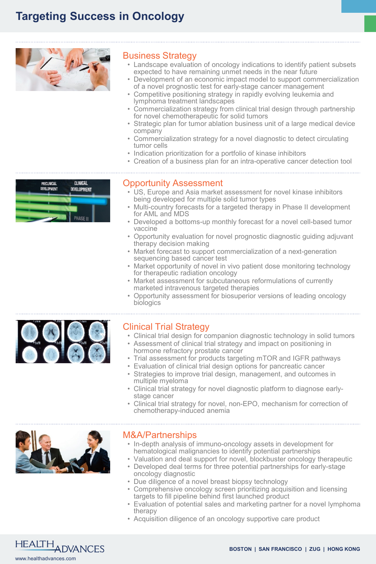## **Targeting Success in Oncology**



## Business Strategy

- Landscape evaluation of oncology indications to identify patient subsets expected to have remaining unmet needs in the near future
- Development of an economic impact model to support commercialization of a novel prognostic test for early-stage cancer management
- Competitive positioning strategy in rapidly evolving leukemia and lymphoma treatment landscapes
- Commercialization strategy from clinical trial design through partnership for novel chemotherapeutic for solid tumors
- Strategic plan for tumor ablation business unit of a large medical device company
- Commercialization strategy for a novel diagnostic to detect circulating tumor cells
- Indication prioritization for a portfolio of kinase inhibitors
- Creation of a business plan for an intra-operative cancer detection tool
- 



### Opportunity Assessment

- US, Europe and Asia market assessment for novel kinase inhibitors being developed for multiple solid tumor types
- Multi-country forecasts for a targeted therapy in Phase II development for AML and MDS
- Developed a bottoms-up monthly forecast for a novel cell-based tumor vaccine
- Opportunity evaluation for novel prognostic diagnostic guiding adjuvant therapy decision making
- Market forecast to support commercialization of a next-generation sequencing based cancer test
- Market opportunity of novel in vivo patient dose monitoring technology for therapeutic radiation oncology
- Market assessment for subcutaneous reformulations of currently marketed intravenous targeted therapies
- Opportunity assessment for biosuperior versions of leading oncology biologics



## Clinical Trial Strategy

- Clinical trial design for companion diagnostic technology in solid tumors
- Assessment of clinical trial strategy and impact on positioning in hormone refractory prostate cancer
- Trial assessment for products targeting mTOR and IGFR pathways
- Evaluation of clinical trial design options for pancreatic cancer
- Strategies to improve trial design, management, and outcomes in multiple myeloma
- Clinical trial strategy for novel diagnostic platform to diagnose early- stage cancer
- Clinical trial strategy for novel, non-EPO, mechanism for correction of chemotherapy-induced anemia



### M&A/Partnerships

- In-depth analysis of immuno-oncology assets in development for hematological malignancies to identify potential partnerships
- Valuation and deal support for novel, blockbuster oncology therapeutic
- Developed deal terms for three potential partnerships for early-stage oncology diagnostic
- Due diligence of a novel breast biopsy technology
- Comprehensive oncology screen prioritizing acquisition and licensing targets to fill pipeline behind first launched product
- Evaluation of potential sales and marketing partner for a novel lymphoma therapy
- Acquisition diligence of an oncology supportive care product